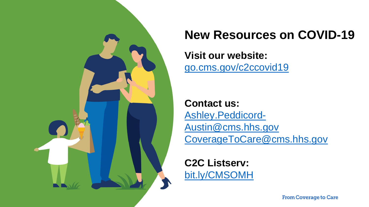

# **New Resources on COVID-19**

## **Visit our website:**  [go.cms.gov/c2ccovid19](http://go.cms.gov/c2ccovid19)

**Contact us:**  Ashley.Peddicord-[Austin@cms.hhs.gov](mailto:Ashley.Peddicord-Austin@cms.hhs.gov) [CoverageToCare@cms.hhs.gov](mailto:CoverageToCare@cms.hhs.gov)

**C2C Listserv:**  [bit.ly/CMSOMH](http://bit.ly/CMSOMH)

**From Coverage to Care**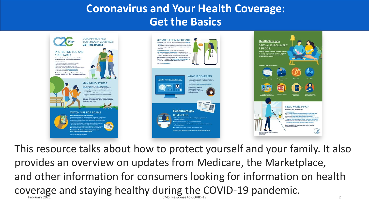# **Coronavirus and Your Health Coverage: Get the Basics**



2 This resource talks about how to protect yourself and your family. It also provides an overview on updates from Medicare, the Marketplace, and other information for consumers looking for information on health coverage and staying healthy during the COVID-19 pandemic. CMS' Response to COVID-19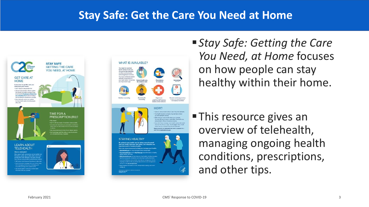### **Stay Safe: Get the Care You Need at Home**





■ *Stay Safe: Getting the Care You Need, at Home* focuses on how people can stay healthy within their home.

**This resource gives an** overview of telehealth, managing ongoing health conditions, prescriptions, and other tips.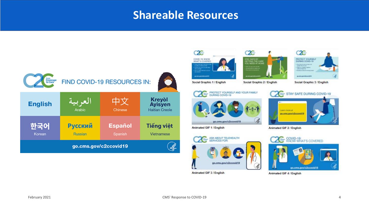### **Shareable Resources**

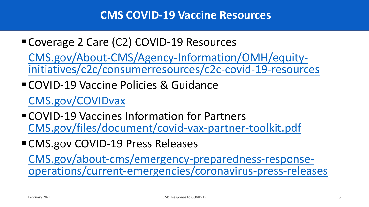■ Coverage 2 Care (C2) COVID-19 Resources

[CMS.gov/About-CMS/Agency-Information/OMH/equity](https://www.cms.gov/About-CMS/Agency-Information/OMH/equity-initiatives/c2c/consumerresources/c2c-covid-19-resources)initiatives/c2c/consumerresources/c2c-covid-19-resources

- COVID-19 Vaccine Policies & Guidance [CMS.gov/COVIDvax](https://www.cms.gov/COVIDvax)
- COVID-19 Vaccines Information for Partners [CMS.gov/files/document/covid-vax-partner-toolkit.pdf](https://www.cms.gov/files/document/covid-vax-partner-toolkit.pdf)
- **EXPORENT COVID-19 Press Releases**

[CMS.gov/about-cms/emergency-preparedness-response](https://www.cms.gov/about-cms/emergency-preparedness-response-operations/current-emergencies/coronavirus-press-releases)operations/current-emergencies/coronavirus-press-releases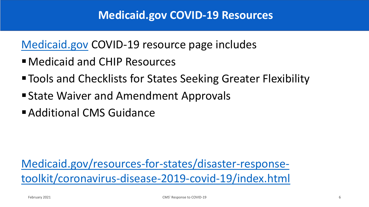[Medicaid.gov](https://www.medicaid.gov/) COVID-19 resource page includes

- Medicaid and CHIP Resources
- Tools and Checklists for States Seeking Greater Flexibility
- State Waiver and Amendment Approvals
- **E** Additional CMS Guidance

[Medicaid.gov/resources-for-states/disaster-response](https://www.medicaid.gov/resources-for-states/disaster-response-toolkit/coronavirus-disease-2019-covid-19/index.html)toolkit/coronavirus-disease-2019-covid-19/index.html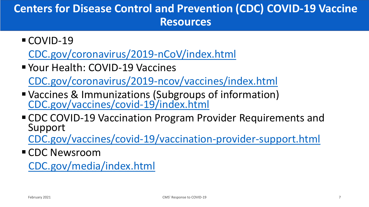# **Centers for Disease Control and Prevention (CDC) COVID-19 Vaccine Resources**

- COVID-19 [CDC.gov/coronavirus/2019-nCoV/index.html](https://www.cdc.gov/coronavirus/2019-nCoV/index.html)
- Your Health: COVID-19 Vaccines

[CDC.gov/coronavirus/2019-ncov/vaccines/index.html](https://www.cdc.gov/coronavirus/2019-ncov/vaccines/index.html)

- Vaccines & Immunizations (Subgroups of information) [CDC.gov/vaccines/covid-19/index.html](https://www.cdc.gov/vaccines/covid-19/index.html)
- CDC COVID-19 Vaccination Program Provider Requirements and Support

[CDC.gov/vaccines/covid-19/vaccination-provider-support.html](https://www.cdc.gov/vaccines/covid-19/vaccination-provider-support.html)

■ CDC Newsroom

[CDC.gov/media/index.html](https://www.cdc.gov/media/index.html)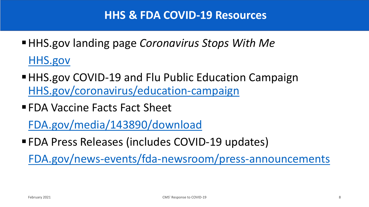- HHS.gov landing page *Coronavirus Stops With Me* [HHS.gov](https://www.hhs.gov/)
- HHS.gov COVID-19 and Flu Public Education Campaign [HHS.gov/coronavirus/education-campaign](https://www.hhs.gov/coronavirus/education-campaign)
- FDA Vaccine Facts Fact Sheet

[FDA.gov/media/143890/download](https://www.fda.gov/media/143890/download)

■ FDA Press Releases (includes COVID-19 updates)

[FDA.gov/news-events/fda-newsroom/press-announcements](https://www.fda.gov/news-events/fda-newsroom/press-announcements)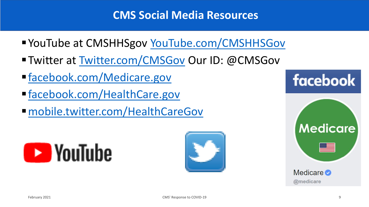# **CMS Social Media Resources**

- YouTube at CMSHHSgov [YouTube.com/CMSHHSGov](http://www.youtube.com/CMSHHSgov)
- Twitter at [Twitter.com/CMSGov](http://www.twitter.com/CMSGov) Our ID: @CMSGov
- [facebook.com/Medicare.gov](https://www.facebook.com/medicare.gov)
- [facebook.com/HealthCare.gov](https://www.facebook.com/HealthCare.gov)
- [mobile.twitter.com/HealthCareGov](https://mobile.twitter.com/HealthCareGov)





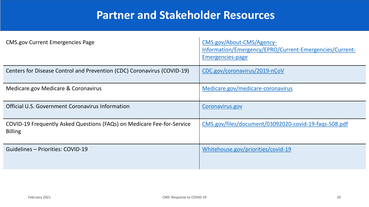## **Partner and Stakeholder Resources**

| <b>CMS.gov Current Emergencies Page</b>                                                  | CMS.gov/About-CMS/Agency-<br>Information/Emergency/EPRO/Current-Emergencies/Current-<br><b>Emergencies-page</b> |
|------------------------------------------------------------------------------------------|-----------------------------------------------------------------------------------------------------------------|
| Centers for Disease Control and Prevention (CDC) Coronavirus (COVID-19)                  | CDC.gov/coronavirus/2019-nCoV                                                                                   |
| Medicare.gov Medicare & Coronavirus                                                      | Medicare.gov/medicare-coronavirus                                                                               |
| Official U.S. Government Coronavirus Information                                         | Coronavirus.gov                                                                                                 |
| COVID-19 Frequently Asked Questions (FAQs) on Medicare Fee-for-Service<br><b>Billing</b> | CMS.gov/files/document/03092020-covid-19-faqs-508.pdf                                                           |
| Guidelines – Priorities: COVID-19                                                        | Whitehouse.gov/priorities/covid-19                                                                              |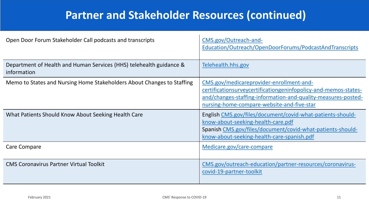# **Partner and Stakeholder Resources (continued)**

| Open Door Forum Stakeholder Call podcasts and transcripts                          | CMS.gov/Outreach-and-<br>Education/Outreach/OpenDoorForums/PodcastAndTranscripts                                                                                                                                           |
|------------------------------------------------------------------------------------|----------------------------------------------------------------------------------------------------------------------------------------------------------------------------------------------------------------------------|
| Department of Health and Human Services (HHS) telehealth guidance &<br>information | Telehealth.hhs.gov                                                                                                                                                                                                         |
| Memo to States and Nursing Home Stakeholders About Changes to Staffing             | CMS.gov/medicareprovider-enrollment-and-<br>certificationsurveycertificationgeninfopolicy-and-memos-states-<br>and/changes-staffing-information-and-quality-measures-posted-<br>nursing-home-compare-website-and-five-star |
| What Patients Should Know About Seeking Health Care                                | English CMS.gov/files/document/covid-what-patients-should-<br>know-about-seeking-health-care.pdf<br>Spanish CMS.gov/files/document/covid-what-patients-should-<br>know-about-seeking-health-care-spanish.pdf               |
| Care Compare                                                                       | Medicare.gov/care-compare                                                                                                                                                                                                  |
| <b>CMS Coronavirus Partner Virtual Toolkit</b>                                     | CMS.gov/outreach-education/partner-resources/coronavirus-<br>covid-19-partner-toolkit                                                                                                                                      |